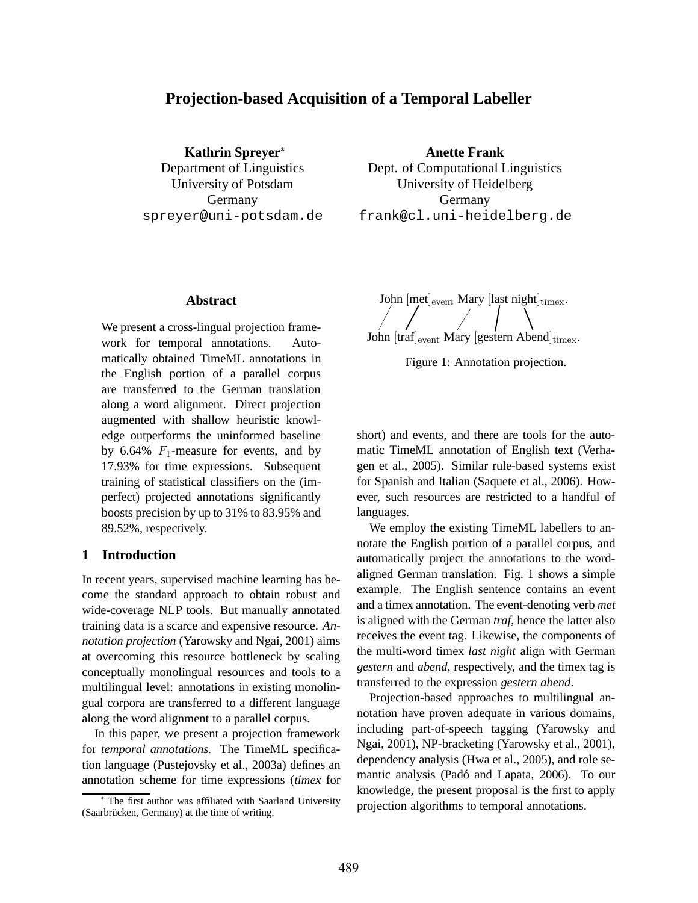# **Projection-based Acquisition of a Temporal Labeller**

**Kathrin Spreyer**<sup>∗</sup> Department of Linguistics University of Potsdam Germany spreyer@uni-potsdam.de **Anette Frank**

Dept. of Computational Linguistics University of Heidelberg Germany frank@cl.uni-heidelberg.de

## **Abstract**

We present a cross-lingual projection framework for temporal annotations. Automatically obtained TimeML annotations in the English portion of a parallel corpus are transferred to the German translation along a word alignment. Direct projection augmented with shallow heuristic knowledge outperforms the uninformed baseline by 6.64%  $F_1$ -measure for events, and by 17.93% for time expressions. Subsequent training of statistical classifiers on the (imperfect) projected annotations significantly boosts precision by up to 31% to 83.95% and 89.52%, respectively.

### **1 Introduction**

In recent years, supervised machine learning has become the standard approach to obtain robust and wide-coverage NLP tools. But manually annotated training data is a scarce and expensive resource. *Annotation projection* (Yarowsky and Ngai, 2001) aims at overcoming this resource bottleneck by scaling conceptually monolingual resources and tools to a multilingual level: annotations in existing monolingual corpora are transferred to a different language along the word alignment to a parallel corpus.

In this paper, we present a projection framework for *temporal annotations.* The TimeML specification language (Pustejovsky et al., 2003a) defines an annotation scheme for time expressions (*timex* for

John  $[met]_{event}$  Mary  $[last night]_{timex}$ . John  $\left[\text{traf}\right]_{\text{event}}$  Mary  $\left[\text{gestern Abend}\right]_{\text{timex}}$ .

Figure 1: Annotation projection.

short) and events, and there are tools for the automatic TimeML annotation of English text (Verhagen et al., 2005). Similar rule-based systems exist for Spanish and Italian (Saquete et al., 2006). However, such resources are restricted to a handful of languages.

We employ the existing TimeML labellers to annotate the English portion of a parallel corpus, and automatically project the annotations to the wordaligned German translation. Fig. 1 shows a simple example. The English sentence contains an event and a timex annotation. The event-denoting verb *met* is aligned with the German *traf*, hence the latter also receives the event tag. Likewise, the components of the multi-word timex *last night* align with German *gestern* and *abend*, respectively, and the timex tag is transferred to the expression *gestern abend*.

Projection-based approaches to multilingual annotation have proven adequate in various domains, including part-of-speech tagging (Yarowsky and Ngai, 2001), NP-bracketing (Yarowsky et al., 2001), dependency analysis (Hwa et al., 2005), and role semantic analysis (Padó and Lapata, 2006). To our knowledge, the present proposal is the first to apply projection algorithms to temporal annotations.

<sup>∗</sup> The first author was affiliated with Saarland University (Saarbrücken, Germany) at the time of writing.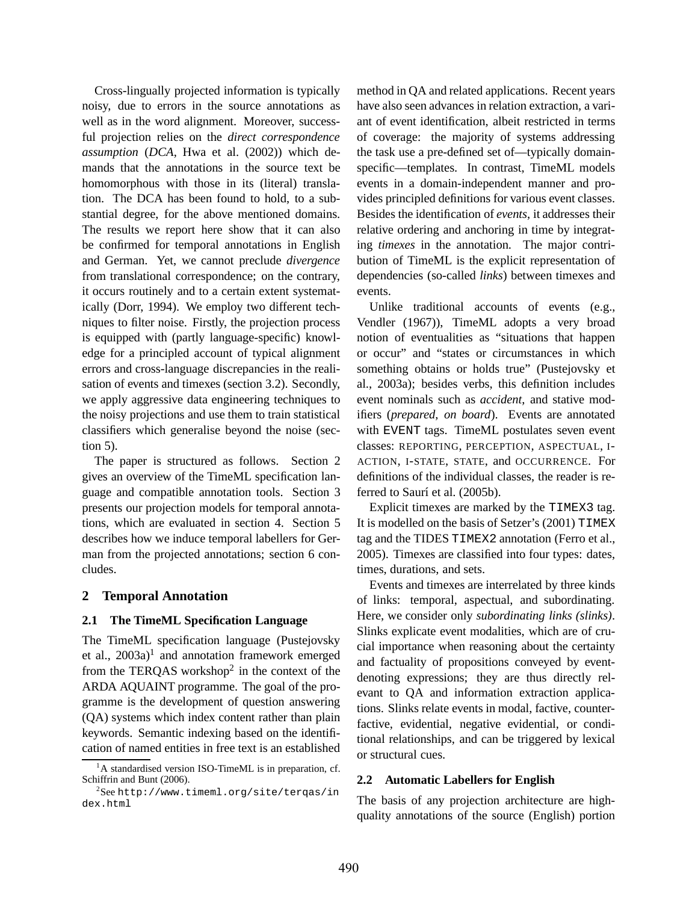Cross-lingually projected information is typically noisy, due to errors in the source annotations as well as in the word alignment. Moreover, successful projection relies on the *direct correspondence assumption* (*DCA*, Hwa et al. (2002)) which demands that the annotations in the source text be homomorphous with those in its (literal) translation. The DCA has been found to hold, to a substantial degree, for the above mentioned domains. The results we report here show that it can also be confirmed for temporal annotations in English and German. Yet, we cannot preclude *divergence* from translational correspondence; on the contrary, it occurs routinely and to a certain extent systematically (Dorr, 1994). We employ two different techniques to filter noise. Firstly, the projection process is equipped with (partly language-specific) knowledge for a principled account of typical alignment errors and cross-language discrepancies in the realisation of events and timexes (section 3.2). Secondly, we apply aggressive data engineering techniques to the noisy projections and use them to train statistical classifiers which generalise beyond the noise (section 5).

The paper is structured as follows. Section 2 gives an overview of the TimeML specification language and compatible annotation tools. Section 3 presents our projection models for temporal annotations, which are evaluated in section 4. Section 5 describes how we induce temporal labellers for German from the projected annotations; section 6 concludes.

# **2 Temporal Annotation**

### **2.1 The TimeML Specification Language**

The TimeML specification language (Pustejovsky et al.,  $2003a$ <sup>1</sup> and annotation framework emerged from the TERQAS workshop<sup>2</sup> in the context of the ARDA AQUAINT programme. The goal of the programme is the development of question answering (QA) systems which index content rather than plain keywords. Semantic indexing based on the identification of named entities in free text is an established method in QA and related applications. Recent years have also seen advances in relation extraction, a variant of event identification, albeit restricted in terms of coverage: the majority of systems addressing the task use a pre-defined set of—typically domainspecific—templates. In contrast, TimeML models events in a domain-independent manner and provides principled definitions for various event classes. Besides the identification of *events*, it addresses their relative ordering and anchoring in time by integrating *timexes* in the annotation. The major contribution of TimeML is the explicit representation of dependencies (so-called *links*) between timexes and events.

Unlike traditional accounts of events (e.g., Vendler (1967)), TimeML adopts a very broad notion of eventualities as "situations that happen or occur" and "states or circumstances in which something obtains or holds true" (Pustejovsky et al., 2003a); besides verbs, this definition includes event nominals such as *accident*, and stative modifiers (*prepared*, *on board*). Events are annotated with EVENT tags. TimeML postulates seven event classes: REPORTING, PERCEPTION, ASPECTUAL, I-ACTION, I-STATE, STATE, and OCCURRENCE. For definitions of the individual classes, the reader is referred to Saurí et al. (2005b).

Explicit timexes are marked by the TIMEX3 tag. It is modelled on the basis of Setzer's (2001) TIMEX tag and the TIDES TIMEX2 annotation (Ferro et al., 2005). Timexes are classified into four types: dates, times, durations, and sets.

Events and timexes are interrelated by three kinds of links: temporal, aspectual, and subordinating. Here, we consider only *subordinating links (slinks)*. Slinks explicate event modalities, which are of crucial importance when reasoning about the certainty and factuality of propositions conveyed by eventdenoting expressions; they are thus directly relevant to QA and information extraction applications. Slinks relate events in modal, factive, counterfactive, evidential, negative evidential, or conditional relationships, and can be triggered by lexical or structural cues.

### **2.2 Automatic Labellers for English**

The basis of any projection architecture are highquality annotations of the source (English) portion

<sup>&</sup>lt;sup>1</sup>A standardised version ISO-TimeML is in preparation, cf. Schiffrin and Bunt (2006).

<sup>2</sup> See http://www.timeml.org/site/terqas/in dex.html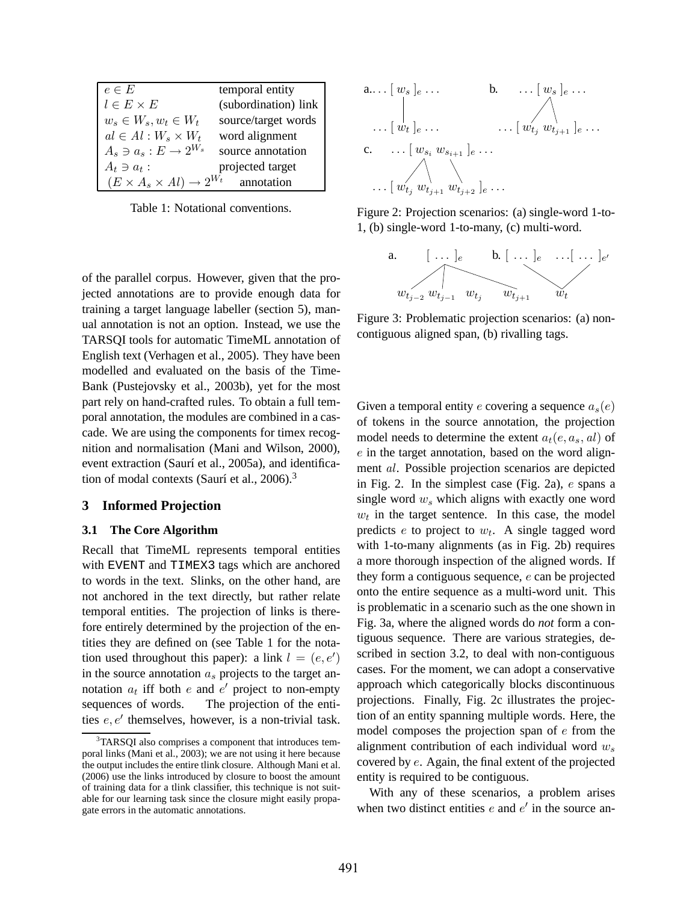| $e \in E$                                      | temporal entity      |
|------------------------------------------------|----------------------|
| $l \in E \times E$                             | (subordination) link |
| $w_s \in W_s, w_t \in W_t$                     | source/target words  |
| $al \in Al : W_s \times W_t$                   | word alignment       |
| $A_s \ni a_s : E \rightarrow 2^{W_s}$          | source annotation    |
| $A_t \ni a_t$ :                                | projected target     |
| $(E \times A_s \times Al) \rightarrow 2^{W_t}$ | annotation           |

Table 1: Notational conventions.

of the parallel corpus. However, given that the projected annotations are to provide enough data for training a target language labeller (section 5), manual annotation is not an option. Instead, we use the TARSQI tools for automatic TimeML annotation of English text (Verhagen et al., 2005). They have been modelled and evaluated on the basis of the Time-Bank (Pustejovsky et al., 2003b), yet for the most part rely on hand-crafted rules. To obtain a full temporal annotation, the modules are combined in a cascade. We are using the components for timex recognition and normalisation (Mani and Wilson, 2000), event extraction (Saurí et al., 2005a), and identification of modal contexts (Saurí et al.,  $2006$ ).<sup>3</sup>

#### **3 Informed Projection**

#### **3.1 The Core Algorithm**

Recall that TimeML represents temporal entities with EVENT and TIMEX3 tags which are anchored to words in the text. Slinks, on the other hand, are not anchored in the text directly, but rather relate temporal entities. The projection of links is therefore entirely determined by the projection of the entities they are defined on (see Table 1 for the notation used throughout this paper): a link  $l = (e, e')$ in the source annotation  $a_s$  projects to the target annotation  $a_t$  iff both e and e' project to non-empty sequences of words. The projection of the entities  $e, e'$  themselves, however, is a non-trivial task.



Figure 2: Projection scenarios: (a) single-word 1-to-1, (b) single-word 1-to-many, (c) multi-word.



Figure 3: Problematic projection scenarios: (a) noncontiguous aligned span, (b) rivalling tags.

Given a temporal entity e covering a sequence  $a_s(e)$ of tokens in the source annotation, the projection model needs to determine the extent  $a_t(e, a_s, al)$  of e in the target annotation, based on the word alignment al. Possible projection scenarios are depicted in Fig. 2. In the simplest case (Fig. 2a), e spans a single word  $w_s$  which aligns with exactly one word  $w_t$  in the target sentence. In this case, the model predicts  $e$  to project to  $w_t$ . A single tagged word with 1-to-many alignments (as in Fig. 2b) requires a more thorough inspection of the aligned words. If they form a contiguous sequence, e can be projected onto the entire sequence as a multi-word unit. This is problematic in a scenario such as the one shown in Fig. 3a, where the aligned words do *not* form a contiguous sequence. There are various strategies, described in section 3.2, to deal with non-contiguous cases. For the moment, we can adopt a conservative approach which categorically blocks discontinuous projections. Finally, Fig. 2c illustrates the projection of an entity spanning multiple words. Here, the model composes the projection span of e from the alignment contribution of each individual word  $w_s$ covered by e. Again, the final extent of the projected entity is required to be contiguous.

With any of these scenarios, a problem arises when two distinct entities  $e$  and  $e'$  in the source an-

<sup>&</sup>lt;sup>3</sup>TARSQI also comprises a component that introduces temporal links (Mani et al., 2003); we are not using it here because the output includes the entire tlink closure. Although Mani et al. (2006) use the links introduced by closure to boost the amount of training data for a tlink classifier, this technique is not suitable for our learning task since the closure might easily propagate errors in the automatic annotations.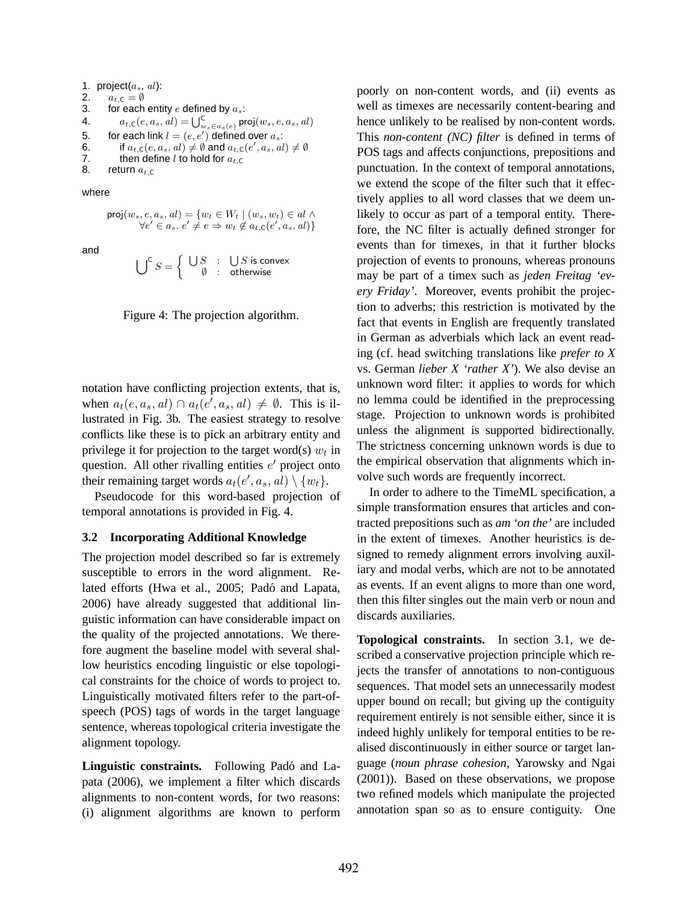```
1. project(a_s, al):
2. a_{t,C} = \emptyset<br>3. for each
        for each entity e defined by a_s:
4. a_{t,\mathsf{C}}(e, a_s, al) = \bigcup_{w_s \in a_s(e)}^{\mathsf{C}} \mathsf{proj}(w_s, e, a_s, al)5. for each link l = (e, e') defined over a_s:
6. if a_{t,\mathsf{C}}(e, a_s, al) \neq \emptyset and a_{t,\mathsf{C}}(e', a_s, al) \neq \emptyset7. then define l to hold for a_{t} c
8. return a_{t,C}
```
where

 $proj(w_s, e, a_s, al) = \{w_t \in W_t \mid (w_s, w_t) \in al \land$  $\forall e' \in a_s \ldotp e' \neq e \Rightarrow w_t \not\in a_{t,\mathsf{C}}(e',a_s,al)$ 

and

$$
\bigcup\nolimits^{\mathsf{C}} S = \left\{ \begin{array}{rcl} \bigcup S & : & \bigcup S \text{ is convex} \\ \emptyset & : & \text{otherwise} \end{array} \right.
$$

Figure 4: The projection algorithm.

notation have conflicting projection extents, that is, when  $a_t(e, a_s, al) \cap a_t(e', a_s, al) \neq \emptyset$ . This is illustrated in Fig. 3b. The easiest strategy to resolve conflicts like these is to pick an arbitrary entity and privilege it for projection to the target word(s)  $w_t$  in question. All other rivalling entities  $e'$  project onto their remaining target words  $a_t(e', a_s, al) \setminus \{w_t\}.$ 

Pseudocode for this word-based projection of temporal annotations is provided in Fig. 4.

### **3.2 Incorporating Additional Knowledge**

The projection model described so far is extremely susceptible to errors in the word alignment. Related efforts (Hwa et al., 2005; Padó and Lapata, 2006) have already suggested that additional linguistic information can have considerable impact on the quality of the projected annotations. We therefore augment the baseline model with several shallow heuristics encoding linguistic or else topological constraints for the choice of words to project to. Linguistically motivated filters refer to the part-ofspeech (POS) tags of words in the target language sentence, whereas topological criteria investigate the alignment topology.

**Linguistic constraints.** Following Padó and Lapata (2006), we implement a filter which discards alignments to non-content words, for two reasons: (i) alignment algorithms are known to perform poorly on non-content words, and (ii) events as well as timexes are necessarily content-bearing and hence unlikely to be realised by non-content words. This *non-content (NC) filter* is defined in terms of POS tags and affects conjunctions, prepositions and punctuation. In the context of temporal annotations, we extend the scope of the filter such that it effectively applies to all word classes that we deem unlikely to occur as part of a temporal entity. Therefore, the NC filter is actually defined stronger for events than for timexes, in that it further blocks projection of events to pronouns, whereas pronouns may be part of a timex such as *jeden Freitag 'every Friday'*. Moreover, events prohibit the projection to adverbs; this restriction is motivated by the fact that events in English are frequently translated in German as adverbials which lack an event reading (cf. head switching translations like *prefer to X* vs. German *lieber X 'rather X'*). We also devise an unknown word filter: it applies to words for which no lemma could be identified in the preprocessing stage. Projection to unknown words is prohibited unless the alignment is supported bidirectionally. The strictness concerning unknown words is due to the empirical observation that alignments which involve such words are frequently incorrect.

In order to adhere to the TimeML specification, a simple transformation ensures that articles and contracted prepositions such as *am 'on the'* are included in the extent of timexes. Another heuristics is designed to remedy alignment errors involving auxiliary and modal verbs, which are not to be annotated as events. If an event aligns to more than one word, then this filter singles out the main verb or noun and discards auxiliaries.

**Topological constraints.** In section 3.1, we described a conservative projection principle which rejects the transfer of annotations to non-contiguous sequences. That model sets an unnecessarily modest upper bound on recall; but giving up the contiguity requirement entirely is not sensible either, since it is indeed highly unlikely for temporal entities to be realised discontinuously in either source or target language (*noun phrase cohesion*, Yarowsky and Ngai (2001)). Based on these observations, we propose two refined models which manipulate the projected annotation span so as to ensure contiguity. One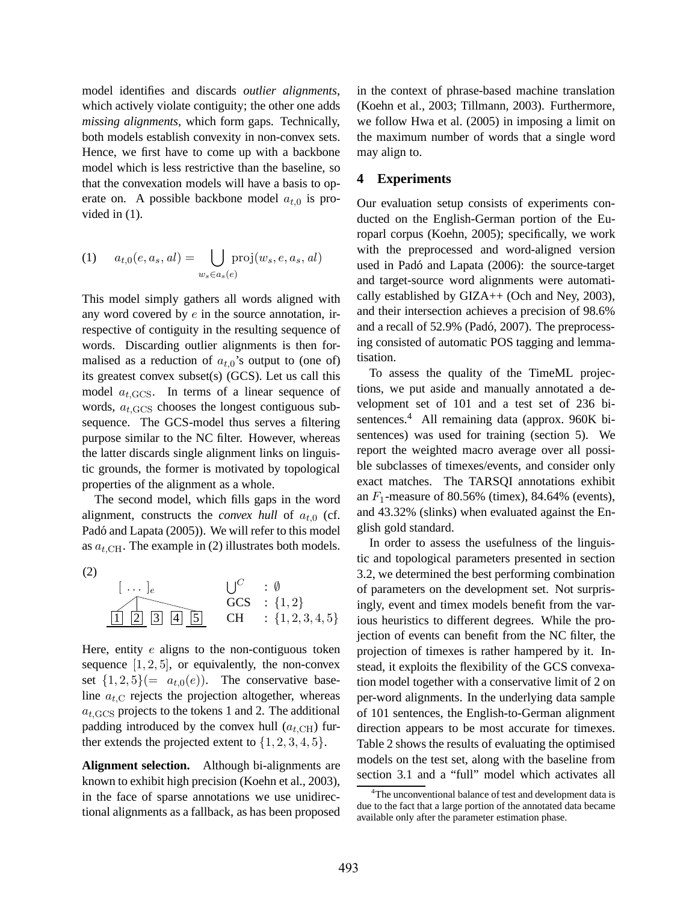model identifies and discards *outlier alignments*, which actively violate contiguity; the other one adds *missing alignments*, which form gaps. Technically, both models establish convexity in non-convex sets. Hence, we first have to come up with a backbone model which is less restrictive than the baseline, so that the convexation models will have a basis to operate on. A possible backbone model  $a_{t,0}$  is provided in (1).

(1) 
$$
a_{t,0}(e,a_s,al) = \bigcup_{w_s \in a_s(e)} \text{proj}(w_s,e,a_s,al)
$$

This model simply gathers all words aligned with any word covered by  $e$  in the source annotation, irrespective of contiguity in the resulting sequence of words. Discarding outlier alignments is then formalised as a reduction of  $a_{t,0}$ 's output to (one of) its greatest convex subset(s) (GCS). Let us call this model  $a_{t,\text{GCS}}$ . In terms of a linear sequence of words,  $a_{t,GCS}$  chooses the longest contiguous subsequence. The GCS-model thus serves a filtering purpose similar to the NC filter. However, whereas the latter discards single alignment links on linguistic grounds, the former is motivated by topological properties of the alignment as a whole.

The second model, which fills gaps in the word alignment, constructs the *convex hull* of  $a_{t,0}$  (cf. Padó and Lapata (2005)). We will refer to this model as  $a_{t,CH}$ . The example in (2) illustrates both models.

$$
\begin{array}{c}\n\text{(2)} \\
\begin{array}{c}\n\text{(1)} \\
\hline\n\end{array}\n\end{array}\n\qquad\n\begin{array}{c}\n\text{(2)} \\
\hline\n\end{array}\n\qquad\n\begin{array}{c}\n\text{(3)} \\
\hline\n\end{array}\n\qquad\n\begin{array}{c}\n\text{(4)} \\
\hline\n\end{array}\n\qquad\n\begin{array}{c}\n\text{(5)} \\
\hline\n\end{array}\n\qquad\n\begin{array}{c}\n\text{(4)} \\
\hline\n\end{array}\n\qquad\n\begin{array}{c}\n\text{(5)} \\
\hline\n\end{array}\n\qquad\n\begin{array}{c}\n\text{(5)} \\
\hline\n\end{array}\n\qquad\n\begin{array}{c}\n\text{(6)} \\
\hline\n\end{array}\n\qquad\n\begin{array}{c}\n\text{(6)} \\
\hline\n\end{array}\n\qquad\n\begin{array}{c}\n\text{(6)} \\
\hline\n\end{array}\n\qquad\n\begin{array}{c}\n\text{(6)} \\
\hline\n\end{array}\n\qquad\n\begin{array}{c}\n\text{(6)} \\
\hline\n\end{array}\n\qquad\n\begin{array}{c}\n\text{(6)} \\
\hline\n\end{array}\n\qquad\n\begin{array}{c}\n\text{(7)} \\
\hline\n\end{array}\n\qquad\n\begin{array}{c}\n\text{(8)} \\
\hline\n\end{array}\n\qquad\n\begin{array}{c}\n\text{(9)} \\
\hline\n\end{array}\n\qquad\n\begin{array}{c}\n\text{(1,2)} \\
\hline\n\end{array}\n\qquad\n\begin{array}{c}\n\text{(1,2)} \\
\hline\n\end{array}\n\qquad\n\begin{array}{c}\n\text{(1,2)} \\
\hline\n\end{array}\n\qquad\n\begin{array}{c}\n\text{(1,2)} \\
\hline\n\end{array}\n\qquad\n\begin{array}{c}\n\text{(1,2)} \\
\hline\n\end{array}\n\qquad\n\begin{array}{c}\n\text{(1,2)} \\
\hline\n\end{array}\n\qquad\n\begin{array}{c}\n\text{(1,2)} \\
\hline\n\end{array}\n\qquad\n\begin{array}{c}\n\text{(1,2)} \\
\hline\n\end{array}\n\qquad\n\begin{array}{c}\n\text{(2)} \\
\hline\n\end{array}
$$

Here, entity  $e$  aligns to the non-contiguous token sequence  $[1, 2, 5]$ , or equivalently, the non-convex set  $\{1, 2, 5\}$  =  $a_{t,0}(e)$ ). The conservative baseline  $a_{t,C}$  rejects the projection altogether, whereas  $a_{t,GCS}$  projects to the tokens 1 and 2. The additional padding introduced by the convex hull  $(a_{t,CH})$  further extends the projected extent to  $\{1, 2, 3, 4, 5\}.$ 

**Alignment selection.** Although bi-alignments are known to exhibit high precision (Koehn et al., 2003), in the face of sparse annotations we use unidirectional alignments as a fallback, as has been proposed in the context of phrase-based machine translation (Koehn et al., 2003; Tillmann, 2003). Furthermore, we follow Hwa et al. (2005) in imposing a limit on the maximum number of words that a single word may align to.

### **4 Experiments**

Our evaluation setup consists of experiments conducted on the English-German portion of the Europarl corpus (Koehn, 2005); specifically, we work with the preprocessed and word-aligned version used in Padó and Lapata (2006): the source-target and target-source word alignments were automatically established by  $GIZA++$  (Och and Ney, 2003), and their intersection achieves a precision of 98.6% and a recall of 52.9% (Padó, 2007). The preprocessing consisted of automatic POS tagging and lemmatisation.

To assess the quality of the TimeML projections, we put aside and manually annotated a development set of 101 and a test set of 236 bisentences.<sup>4</sup> All remaining data (approx. 960K bisentences) was used for training (section 5). We report the weighted macro average over all possible subclasses of timexes/events, and consider only exact matches. The TARSQI annotations exhibit an  $F_1$ -measure of 80.56% (timex), 84.64% (events), and 43.32% (slinks) when evaluated against the English gold standard.

In order to assess the usefulness of the linguistic and topological parameters presented in section 3.2, we determined the best performing combination of parameters on the development set. Not surprisingly, event and timex models benefit from the various heuristics to different degrees. While the projection of events can benefit from the NC filter, the projection of timexes is rather hampered by it. Instead, it exploits the flexibility of the GCS convexation model together with a conservative limit of 2 on per-word alignments. In the underlying data sample of 101 sentences, the English-to-German alignment direction appears to be most accurate for timexes. Table 2 shows the results of evaluating the optimised models on the test set, along with the baseline from section 3.1 and a "full" model which activates all

<sup>&</sup>lt;sup>4</sup>The unconventional balance of test and development data is due to the fact that a large portion of the annotated data became available only after the parameter estimation phase.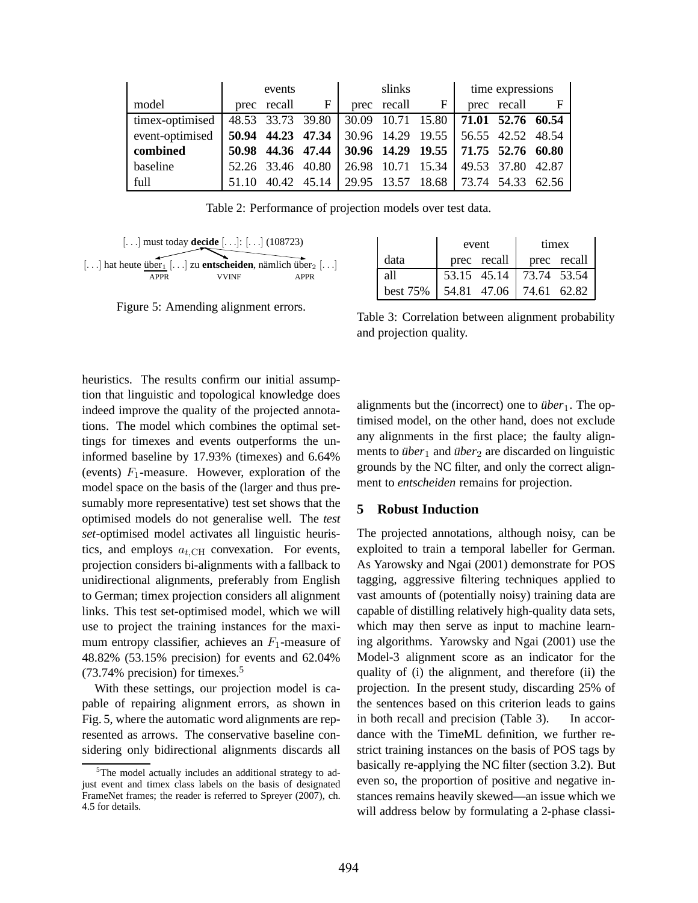|                 | events |                   |                   | slinks |             |                                       | time expressions  |             |  |
|-----------------|--------|-------------------|-------------------|--------|-------------|---------------------------------------|-------------------|-------------|--|
| model           |        | prec recall       | $\mathbf{F}$      |        | prec recall | $\mathbf{F}$                          |                   | prec recall |  |
| timex-optimised |        |                   | 48.53 33.73 39.80 |        |             | 30.09 10.71 15.80 71.01 52.76 60.54   |                   |             |  |
| event-optimised |        | 50.94 44.23 47.34 |                   |        |             | 30.96 14.29 19.55                     | 56.55 42.52 48.54 |             |  |
| combined        |        | 50.98 44.36 47.44 |                   |        |             | 30.96 14.29 19.55 71.75 52.76 60.80   |                   |             |  |
| baseline        |        | 52.26 33.46 40.80 |                   |        |             | 26.98 10.71 15.34   49.53 37.80 42.87 |                   |             |  |
| full            | 51 10  |                   | 40.42 45.14       |        |             | 29.95 13.57 18.68 73.74 54.33 62.56   |                   |             |  |

Table 2: Performance of projection models over test data.



Figure 5: Amending alignment errors.

|          | event                                   | timex |             |  |  |
|----------|-----------------------------------------|-------|-------------|--|--|
| data     | prec recall                             |       | prec recall |  |  |
| all      | 53.15 45.14 73.74 53.54                 |       |             |  |  |
| best 75% | $\vert$ 54.81 47.06 $\vert$ 74.61 62.82 |       |             |  |  |

Table 3: Correlation between alignment probability and projection quality.

heuristics. The results confirm our initial assumption that linguistic and topological knowledge does indeed improve the quality of the projected annotations. The model which combines the optimal settings for timexes and events outperforms the uninformed baseline by 17.93% (timexes) and 6.64% (events)  $F_1$ -measure. However, exploration of the model space on the basis of the (larger and thus presumably more representative) test set shows that the optimised models do not generalise well. The *test set*-optimised model activates all linguistic heuristics, and employs  $a_{t,CH}$  convexation. For events, projection considers bi-alignments with a fallback to unidirectional alignments, preferably from English to German; timex projection considers all alignment links. This test set-optimised model, which we will use to project the training instances for the maximum entropy classifier, achieves an  $F_1$ -measure of 48.82% (53.15% precision) for events and 62.04% (73.74% precision) for timexes.<sup>5</sup>

With these settings, our projection model is capable of repairing alignment errors, as shown in Fig. 5, where the automatic word alignments are represented as arrows. The conservative baseline considering only bidirectional alignments discards all alignments but the (incorrect) one to  $\ddot{\textit{u}}\textit{ber}_1$ . The optimised model, on the other hand, does not exclude any alignments in the first place; the faulty alignments to *über*<sup>1</sup> and *über*<sup>2</sup> are discarded on linguistic grounds by the NC filter, and only the correct alignment to *entscheiden* remains for projection.

### **5 Robust Induction**

The projected annotations, although noisy, can be exploited to train a temporal labeller for German. As Yarowsky and Ngai (2001) demonstrate for POS tagging, aggressive filtering techniques applied to vast amounts of (potentially noisy) training data are capable of distilling relatively high-quality data sets, which may then serve as input to machine learning algorithms. Yarowsky and Ngai (2001) use the Model-3 alignment score as an indicator for the quality of (i) the alignment, and therefore (ii) the projection. In the present study, discarding 25% of the sentences based on this criterion leads to gains in both recall and precision (Table 3). In accordance with the TimeML definition, we further restrict training instances on the basis of POS tags by basically re-applying the NC filter (section 3.2). But even so, the proportion of positive and negative instances remains heavily skewed—an issue which we will address below by formulating a 2-phase classi-

<sup>&</sup>lt;sup>5</sup>The model actually includes an additional strategy to adjust event and timex class labels on the basis of designated FrameNet frames; the reader is referred to Spreyer (2007), ch. 4.5 for details.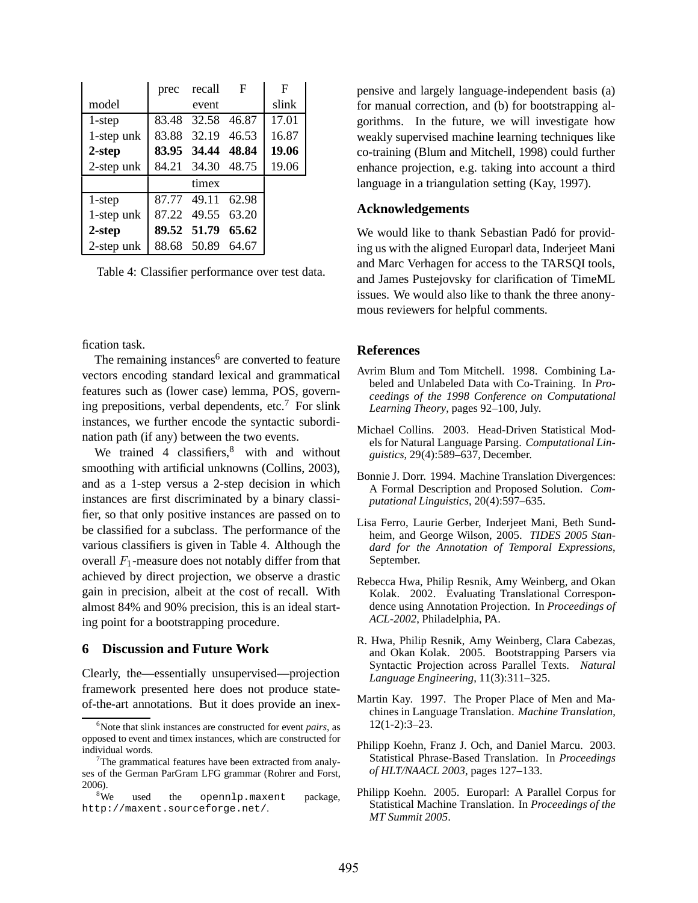|            | prec recall       | $\mathbf{F}$ | F     |
|------------|-------------------|--------------|-------|
| model      | event             |              | slink |
| 1-step     | 83.48 32.58       | 46.87        | 17.01 |
| 1-step unk | 83.88 32.19       | 46.53        | 16.87 |
| 2-step     | 83.95 34.44 48.84 |              | 19.06 |
| 2-step unk | 84.21 34.30 48.75 |              | 19.06 |
|            | timex             |              |       |
| 1-step     | 87.77 49.11 62.98 |              |       |
| 1-step unk | 87.22 49.55       | 63.20        |       |
| 2-step     | 89.52 51.79       | 65.62        |       |
| 2-step unk | 88.68 50.89       | 64.67        |       |

Table 4: Classifier performance over test data.

fication task.

The remaining instances $6$  are converted to feature vectors encoding standard lexical and grammatical features such as (lower case) lemma, POS, governing prepositions, verbal dependents, etc.<sup>7</sup> For slink instances, we further encode the syntactic subordination path (if any) between the two events.

We trained 4 classifiers, $8$  with and without smoothing with artificial unknowns (Collins, 2003), and as a 1-step versus a 2-step decision in which instances are first discriminated by a binary classifier, so that only positive instances are passed on to be classified for a subclass. The performance of the various classifiers is given in Table 4. Although the overall  $F_1$ -measure does not notably differ from that achieved by direct projection, we observe a drastic gain in precision, albeit at the cost of recall. With almost 84% and 90% precision, this is an ideal starting point for a bootstrapping procedure.

### **6 Discussion and Future Work**

Clearly, the—essentially unsupervised—projection framework presented here does not produce stateof-the-art annotations. But it does provide an inexpensive and largely language-independent basis (a) for manual correction, and (b) for bootstrapping algorithms. In the future, we will investigate how weakly supervised machine learning techniques like co-training (Blum and Mitchell, 1998) could further enhance projection, e.g. taking into account a third language in a triangulation setting (Kay, 1997).

### **Acknowledgements**

We would like to thank Sebastian Padó for providing us with the aligned Europarl data, Inderjeet Mani and Marc Verhagen for access to the TARSQI tools, and James Pustejovsky for clarification of TimeML issues. We would also like to thank the three anonymous reviewers for helpful comments.

#### **References**

- Avrim Blum and Tom Mitchell. 1998. Combining Labeled and Unlabeled Data with Co-Training. In *Proceedings of the 1998 Conference on Computational Learning Theory*, pages 92–100, July.
- Michael Collins. 2003. Head-Driven Statistical Models for Natural Language Parsing. *Computational Linguistics*, 29(4):589–637, December.
- Bonnie J. Dorr. 1994. Machine Translation Divergences: A Formal Description and Proposed Solution. *Computational Linguistics*, 20(4):597–635.
- Lisa Ferro, Laurie Gerber, Inderjeet Mani, Beth Sundheim, and George Wilson, 2005. *TIDES 2005 Standard for the Annotation of Temporal Expressions*, September.
- Rebecca Hwa, Philip Resnik, Amy Weinberg, and Okan Kolak. 2002. Evaluating Translational Correspondence using Annotation Projection. In *Proceedings of ACL-2002*, Philadelphia, PA.
- R. Hwa, Philip Resnik, Amy Weinberg, Clara Cabezas, and Okan Kolak. 2005. Bootstrapping Parsers via Syntactic Projection across Parallel Texts. *Natural Language Engineering*, 11(3):311–325.
- Martin Kay. 1997. The Proper Place of Men and Machines in Language Translation. *Machine Translation*, 12(1-2):3–23.
- Philipp Koehn, Franz J. Och, and Daniel Marcu. 2003. Statistical Phrase-Based Translation. In *Proceedings of HLT/NAACL 2003*, pages 127–133.
- Philipp Koehn. 2005. Europarl: A Parallel Corpus for Statistical Machine Translation. In *Proceedings of the MT Summit 2005*.

<sup>6</sup>Note that slink instances are constructed for event *pairs*, as opposed to event and timex instances, which are constructed for individual words.

 $7$ The grammatical features have been extracted from analyses of the German ParGram LFG grammar (Rohrer and Forst,  $^{2006)}$ .<br> $^{8}$ We

used the opennlp.maxent package, http://maxent.sourceforge.net/.